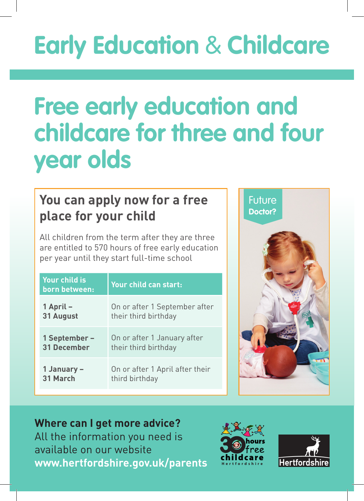# **Early Education** & **Childcare**

## **Free early education and childcare for three and four year olds**

#### **You can apply now for a free place for your child**

All children from the term after they are three are entitled to 570 hours of free early education per year until they start full-time school

| Your child is<br>born between: | Your child can start:           |
|--------------------------------|---------------------------------|
| 1 April –                      | On or after 1 September after   |
| 31 August                      | their third birthday            |
| 1 September –                  | On or after 1 January after     |
| <b>31 December</b>             | their third birthday            |
| 1 January –                    | On or after 1 April after their |
| 31 March                       | third birthday                  |



### **Where can I get more advice?**

All the information you need is available on our website **www.hertfordshire.gov.uk/parents**